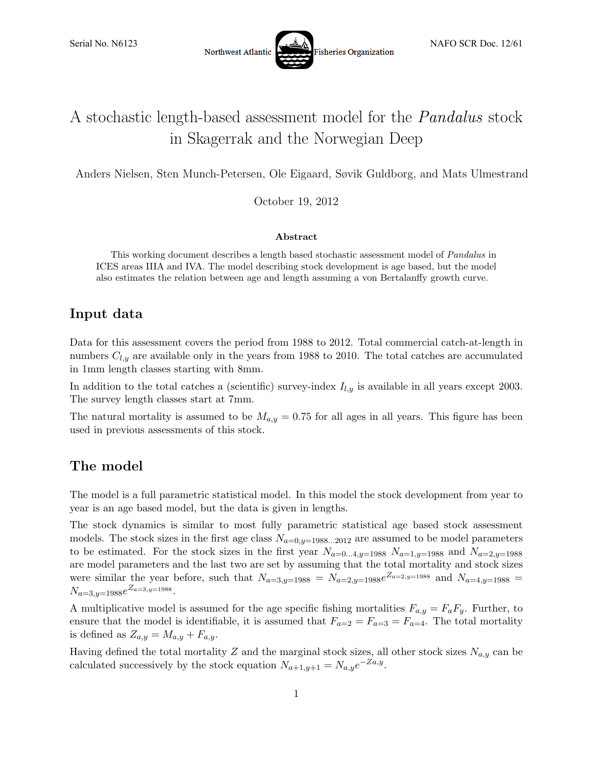

# A stochastic length-based assessment model for the Pandalus stock in Skagerrak and the Norwegian Deep

Anders Nielsen, Sten Munch-Petersen, Ole Eigaard, Søvik Guldborg, and Mats Ulmestrand

October 19, 2012

#### Abstract

This working document describes a length based stochastic assessment model of *Pandalus* in ICES areas IIIA and IVA. The model describing stock development is age based, but the model also estimates the relation between age and length assuming a von Bertalanffy growth curve.

## Input data

Data for this assessment covers the period from 1988 to 2012. Total commercial catch-at-length in numbers  $C_{l,y}$  are available only in the years from 1988 to 2010. The total catches are accumulated in 1mm length classes starting with 8mm.

In addition to the total catches a (scientific) survey-index  $I_{l,y}$  is available in all years except 2003. The survey length classes start at 7mm.

The natural mortality is assumed to be  $M_{a,y} = 0.75$  for all ages in all years. This figure has been used in previous assessments of this stock.

## The model

The model is a full parametric statistical model. In this model the stock development from year to year is an age based model, but the data is given in lengths.

The stock dynamics is similar to most fully parametric statistical age based stock assessment models. The stock sizes in the first age class  $N_{a=0,y=1988...2012}$  are assumed to be model parameters to be estimated. For the stock sizes in the first year  $N_{a=0...4,y=1988}$   $N_{a=1,y=1988}$  and  $N_{a=2,y=1988}$ are model parameters and the last two are set by assuming that the total mortality and stock sizes were similar the year before, such that  $N_{a=3,y=1988} = N_{a=2,y=1988}e^{Z_{a=2,y=1988}}$  and  $N_{a=4,y=1988}$  $N_{a=3,y=1988}e^{Z_{a=3,y=1988}}.$ 

A multiplicative model is assumed for the age specific fishing mortalities  $F_{a,y} = F_a F_y$ . Further, to ensure that the model is identifiable, it is assumed that  $F_{a=2} = F_{a=3} = F_{a=4}$ . The total mortality is defined as  $Z_{a,y} = M_{a,y} + F_{a,y}$ .

Having defined the total mortality Z and the marginal stock sizes, all other stock sizes  $N_{a,y}$  can be calculated successively by the stock equation  $N_{a+1,y+1} = N_{a,y}e^{-Za,y}$ .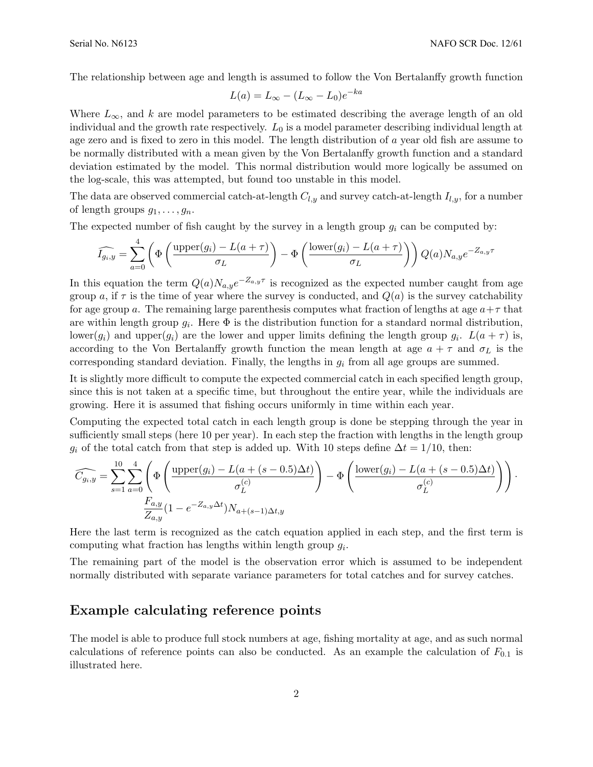The relationship between age and length is assumed to follow the Von Bertalanffy growth function

$$
L(a) = L_{\infty} - (L_{\infty} - L_0)e^{-ka}
$$

Where  $L_{\infty}$ , and k are model parameters to be estimated describing the average length of an old individual and the growth rate respectively.  $L_0$  is a model parameter describing individual length at age zero and is fixed to zero in this model. The length distribution of a year old fish are assume to be normally distributed with a mean given by the Von Bertalanffy growth function and a standard deviation estimated by the model. This normal distribution would more logically be assumed on the log-scale, this was attempted, but found too unstable in this model.

The data are observed commercial catch-at-length  $C_{l,y}$  and survey catch-at-length  $I_{l,y}$ , for a number of length groups  $g_1, \ldots, g_n$ .

The expected number of fish caught by the survey in a length group  $q_i$  can be computed by:

$$
\widehat{I_{g_i,y}} = \sum_{a=0}^{4} \left( \Phi \left( \frac{\text{upper}(g_i) - L(a+\tau)}{\sigma_L} \right) - \Phi \left( \frac{\text{lower}(g_i) - L(a+\tau)}{\sigma_L} \right) \right) Q(a) N_{a,y} e^{-Z_{a,y}\tau}
$$

In this equation the term  $Q(a)N_{a,y}e^{-Z_{a,y}\tau}$  is recognized as the expected number caught from age group a, if  $\tau$  is the time of year where the survey is conducted, and  $Q(a)$  is the survey catchability for age group a. The remaining large parenthesis computes what fraction of lengths at age  $a+\tau$  that are within length group  $g_i$ . Here  $\Phi$  is the distribution function for a standard normal distribution, lower( $g_i$ ) and upper( $g_i$ ) are the lower and upper limits defining the length group  $g_i$ .  $L(a + \tau)$  is, according to the Von Bertalanffy growth function the mean length at age  $a + \tau$  and  $\sigma_L$  is the corresponding standard deviation. Finally, the lengths in  $g_i$  from all age groups are summed.

It is slightly more difficult to compute the expected commercial catch in each specified length group, since this is not taken at a specific time, but throughout the entire year, while the individuals are growing. Here it is assumed that fishing occurs uniformly in time within each year.

Computing the expected total catch in each length group is done be stepping through the year in sufficiently small steps (here 10 per year). In each step the fraction with lengths in the length group  $g_i$  of the total catch from that step is added up. With 10 steps define  $\Delta t = 1/10$ , then:

$$
\widehat{C_{g_i,y}} = \sum_{s=1}^{10} \sum_{a=0}^{4} \left( \Phi\left(\frac{\text{upper}(g_i) - L(a + (s - 0.5)\Delta t)}{\sigma_L^{(c)}}\right) - \Phi\left(\frac{\text{lower}(g_i) - L(a + (s - 0.5)\Delta t)}{\sigma_L^{(c)}}\right) \right).
$$

$$
\frac{F_{a,y}}{Z_{a,y}} (1 - e^{-Z_{a,y}\Delta t}) N_{a + (s-1)\Delta t,y}
$$

Here the last term is recognized as the catch equation applied in each step, and the first term is computing what fraction has lengths within length group  $g_i$ .

The remaining part of the model is the observation error which is assumed to be independent normally distributed with separate variance parameters for total catches and for survey catches.

#### Example calculating reference points

The model is able to produce full stock numbers at age, fishing mortality at age, and as such normal calculations of reference points can also be conducted. As an example the calculation of  $F_{0,1}$  is illustrated here.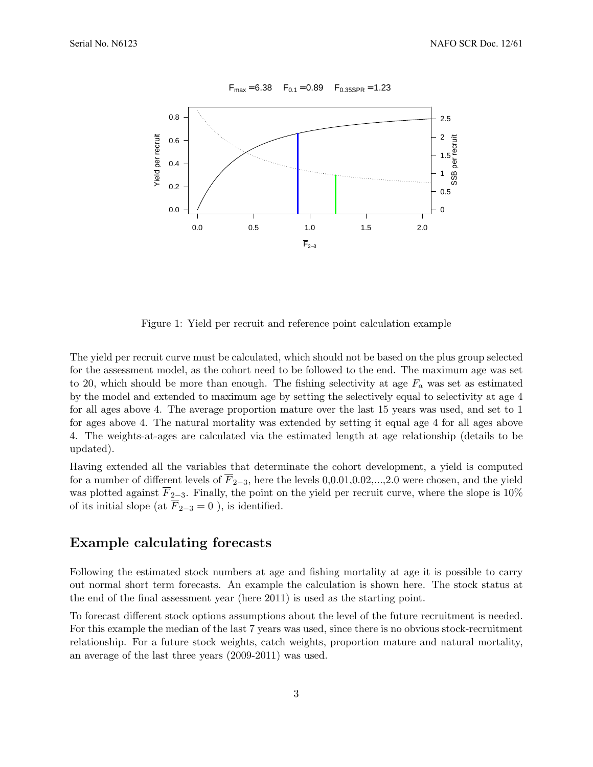

 $F_{max} = 6.38$   $F_{0.1} = 0.89$   $F_{0.35SPR} = 1.23$ 

Figure 1: Yield per recruit and reference point calculation example

The yield per recruit curve must be calculated, which should not be based on the plus group selected for the assessment model, as the cohort need to be followed to the end. The maximum age was set to 20, which should be more than enough. The fishing selectivity at age  $F_a$  was set as estimated by the model and extended to maximum age by setting the selectively equal to selectivity at age 4 for all ages above 4. The average proportion mature over the last 15 years was used, and set to 1 for ages above 4. The natural mortality was extended by setting it equal age 4 for all ages above 4. The weights-at-ages are calculated via the estimated length at age relationship (details to be updated).

Having extended all the variables that determinate the cohort development, a yield is computed for a number of different levels of  $\overline{F}_{2-3}$ , here the levels 0,0.01,0.02,...,2.0 were chosen, and the yield was plotted against  $\overline{F}_{2-3}$ . Finally, the point on the yield per recruit curve, where the slope is 10% of its initial slope (at  $\overline{F}_{2-3} = 0$ ), is identified.

### Example calculating forecasts

Following the estimated stock numbers at age and fishing mortality at age it is possible to carry out normal short term forecasts. An example the calculation is shown here. The stock status at the end of the final assessment year (here 2011) is used as the starting point.

To forecast different stock options assumptions about the level of the future recruitment is needed. For this example the median of the last 7 years was used, since there is no obvious stock-recruitment relationship. For a future stock weights, catch weights, proportion mature and natural mortality, an average of the last three years (2009-2011) was used.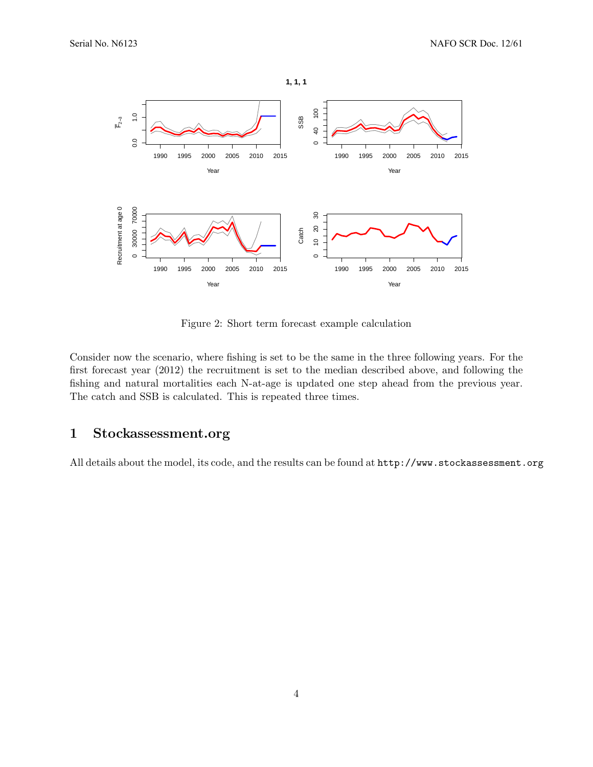

Figure 2: Short term forecast example calculation

Consider now the scenario, where fishing is set to be the same in the three following years. For the first forecast year (2012) the recruitment is set to the median described above, and following the fishing and natural mortalities each N-at-age is updated one step ahead from the previous year. The catch and SSB is calculated. This is repeated three times.

### 1 Stockassessment.org

All details about the model, its code, and the results can be found at http://www.stockassessment.org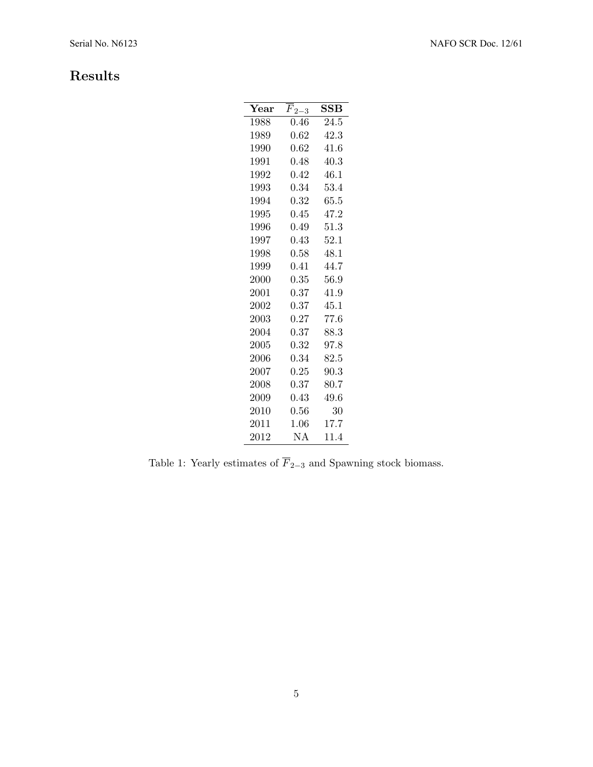## Results

| $\operatorname{Year}$ | $F_{2-3}$  | SSB      |
|-----------------------|------------|----------|
| 1988                  | 0.46       | 24.5     |
| 1989                  | 0.62       | 42.3     |
| 1990                  | 0.62       | 41.6     |
| 1991                  | 0.48       | 40.3     |
| 1992                  | 0.42       | 46.1     |
| 1993                  | 0.34       | 53.4     |
| 1994                  | 0.32       | 65.5     |
| 1995                  | 0.45       | 47.2     |
| 1996                  | 0.49       | 51.3     |
| 1997                  | 0.43       | 52.1     |
| 1998                  | 0.58       | 48.1     |
| 1999                  | 0.41       | 44.7     |
| $2000\,$              | $\rm 0.35$ | 56.9     |
| 2001                  | 0.37       | 41.9     |
| 2002                  | 0.37       | 45.1     |
| 2003                  | 0.27       | 77.6     |
| 2004                  | 0.37       | 88.3     |
| 2005                  | 0.32       | 97.8     |
| $2006\,$              | 0.34       | $82.5\,$ |
| $2007\,$              | $0.25\,$   | 90.3     |
| 2008                  | 0.37       | 80.7     |
| 2009                  | 0.43       | 49.6     |
| 2010                  | 0.56       | 30       |
| 2011                  | 1.06       | 17.7     |
| $2012\,$              | ΝA         | 11.4     |

Table 1: Yearly estimates of  $\overline{F}_{2-3}$  and Spawning stock biomass.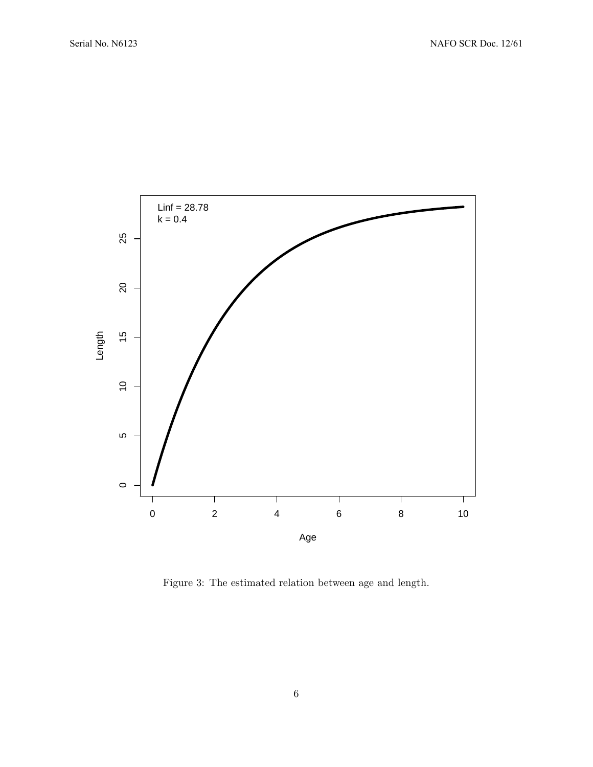

Figure 3: The estimated relation between age and length.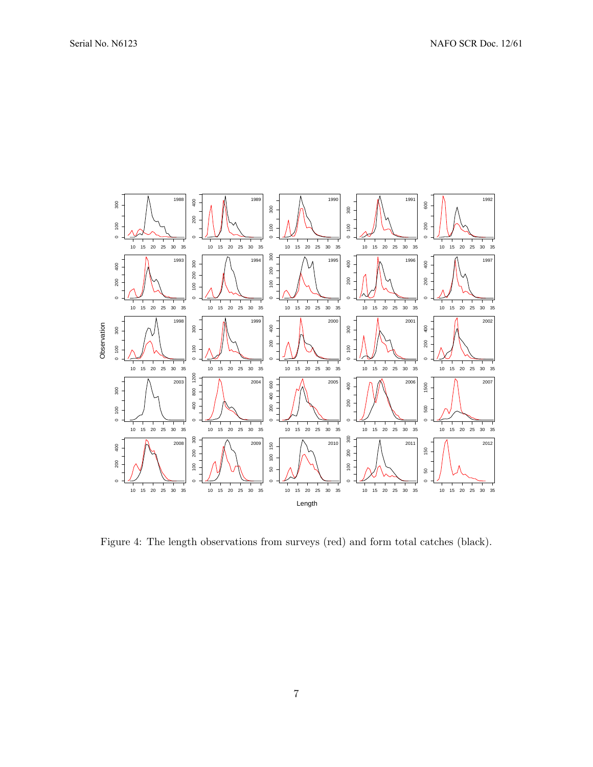

Figure 4: The length observations from surveys (red) and form total catches (black).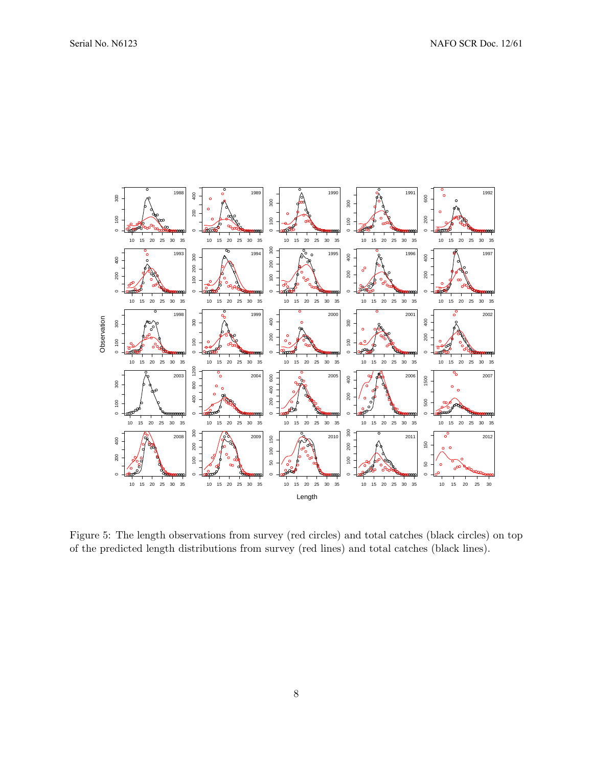

Figure 5: The length observations from survey (red circles) and total catches (black circles) on top of the predicted length distributions from survey (red lines) and total catches (black lines).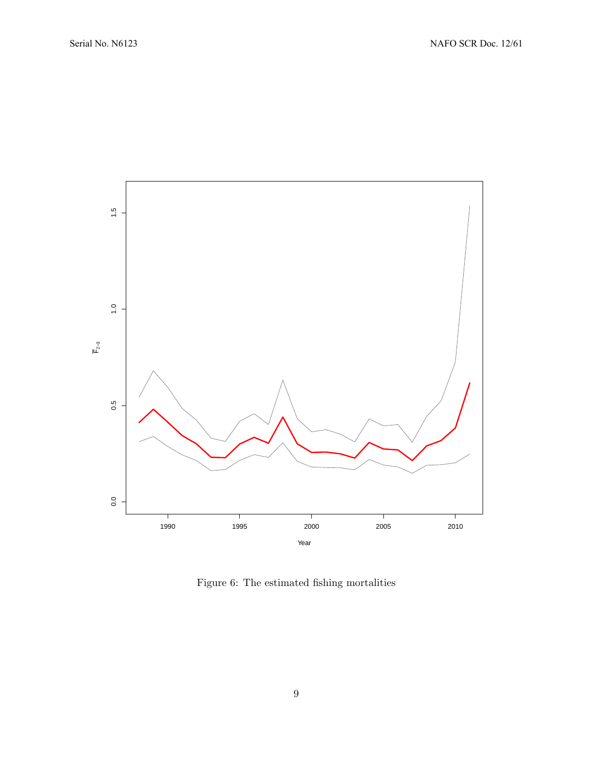

Figure 6: The estimated fishing mortalities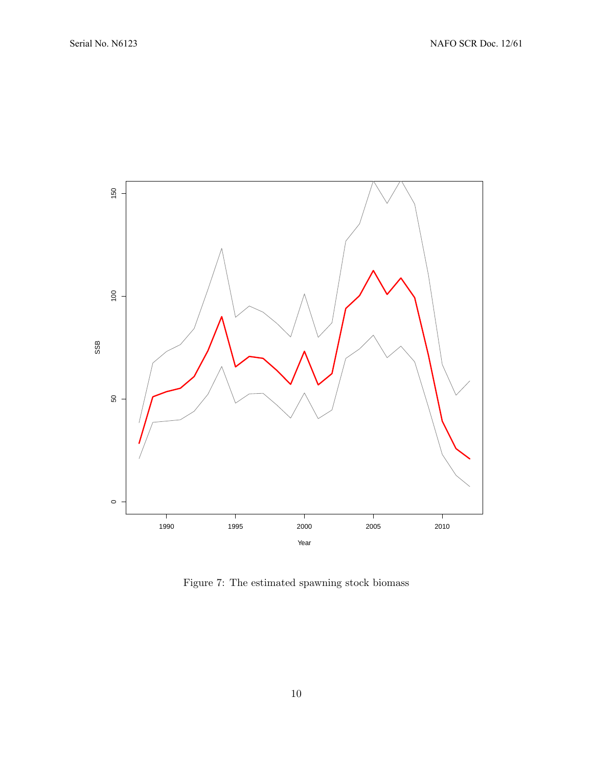

Figure 7: The estimated spawning stock biomass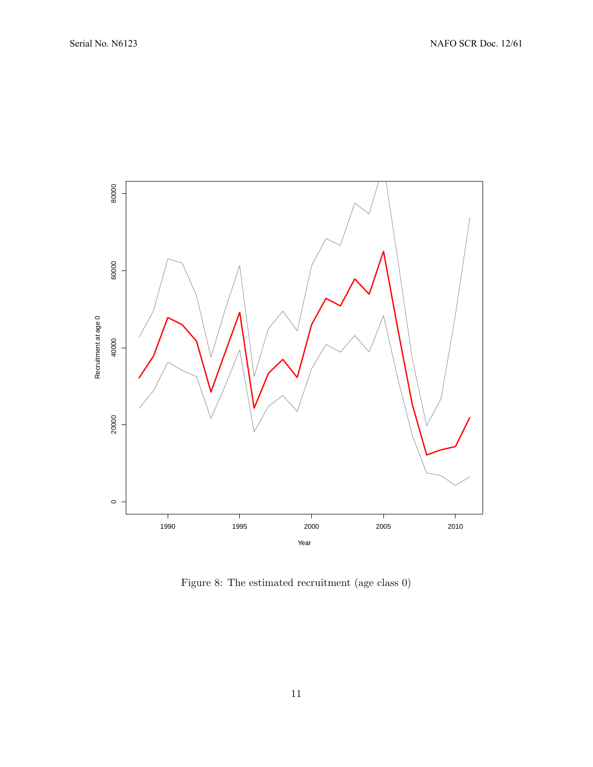

Figure 8: The estimated recruitment (age class 0)